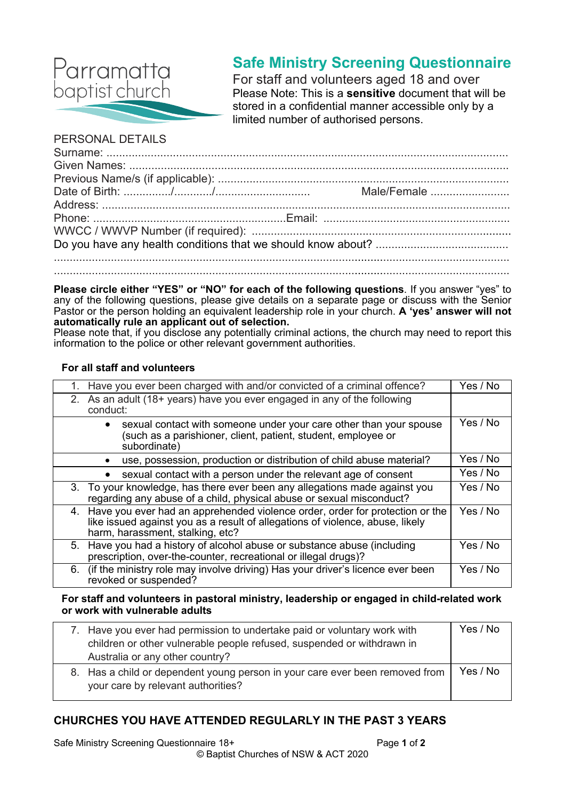

# **Safe Ministry Screening Questionnaire**

For staff and volunteers aged 18 and over Please Note: This is a **sensitive** document that will be stored in a confidential manner accessible only by a limited number of authorised persons.

### PERSONAL DETAILS

**Please circle either "YES" or "NO" for each of the following questions**. If you answer "yes" to any of the following questions, please give details on a separate page or discuss with the Senior Pastor or the person holding an equivalent leadership role in your church. **A 'yes' answer will not automatically rule an applicant out of selection.**

Please note that, if you disclose any potentially criminal actions, the church may need to report this information to the police or other relevant government authorities.

#### **For all staff and volunteers**

| 1. Have you ever been charged with and/or convicted of a criminal offence?                                                                                                                           | Yes / No |
|------------------------------------------------------------------------------------------------------------------------------------------------------------------------------------------------------|----------|
| 2. As an adult (18+ years) have you ever engaged in any of the following<br>conduct:                                                                                                                 |          |
| sexual contact with someone under your care other than your spouse<br>(such as a parishioner, client, patient, student, employee or<br>subordinate)                                                  | Yes / No |
| use, possession, production or distribution of child abuse material?                                                                                                                                 | Yes / No |
| sexual contact with a person under the relevant age of consent                                                                                                                                       | Yes / No |
| 3. To your knowledge, has there ever been any allegations made against you<br>regarding any abuse of a child, physical abuse or sexual misconduct?                                                   | Yes / No |
| 4. Have you ever had an apprehended violence order, order for protection or the<br>like issued against you as a result of allegations of violence, abuse, likely<br>harm, harassment, stalking, etc? |          |
| 5. Have you had a history of alcohol abuse or substance abuse (including<br>prescription, over-the-counter, recreational or illegal drugs)?                                                          | Yes / No |
| 6. (if the ministry role may involve driving) Has your driver's licence ever been<br>revoked or suspended?                                                                                           | Yes / No |

#### **For staff and volunteers in pastoral ministry, leadership or engaged in child-related work or work with vulnerable adults**

| 7. Have you ever had permission to undertake paid or voluntary work with<br>children or other vulnerable people refused, suspended or withdrawn in<br>Australia or any other country? | Yes / No |
|---------------------------------------------------------------------------------------------------------------------------------------------------------------------------------------|----------|
| 8. Has a child or dependent young person in your care ever been removed from<br>your care by relevant authorities?                                                                    | Yes / No |

# **CHURCHES YOU HAVE ATTENDED REGULARLY IN THE PAST 3 YEARS**